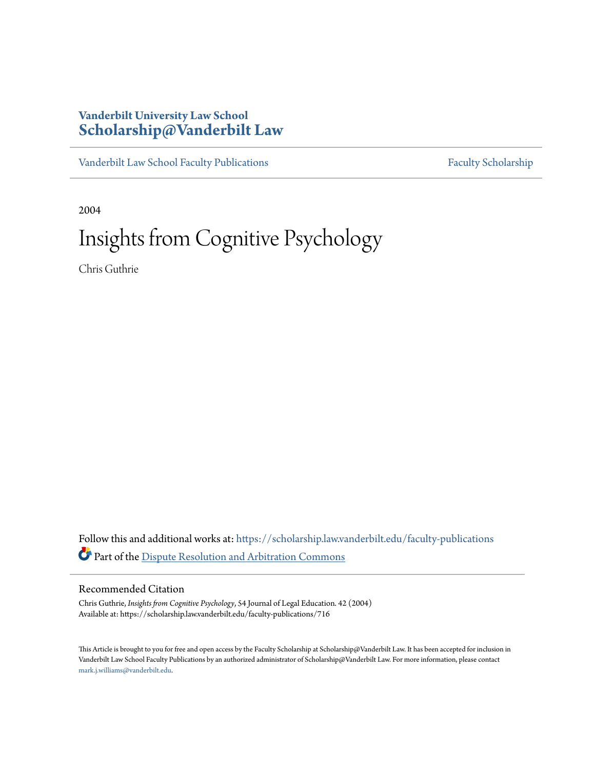### **Vanderbilt University Law School [Scholarship@Vanderbilt Law](https://scholarship.law.vanderbilt.edu?utm_source=scholarship.law.vanderbilt.edu%2Ffaculty-publications%2F716&utm_medium=PDF&utm_campaign=PDFCoverPages)**

[Vanderbilt Law School Faculty Publications](https://scholarship.law.vanderbilt.edu/faculty-publications?utm_source=scholarship.law.vanderbilt.edu%2Ffaculty-publications%2F716&utm_medium=PDF&utm_campaign=PDFCoverPages) [Faculty Scholarship](https://scholarship.law.vanderbilt.edu/faculty-scholarship?utm_source=scholarship.law.vanderbilt.edu%2Ffaculty-publications%2F716&utm_medium=PDF&utm_campaign=PDFCoverPages)

2004

## Insights from Cognitive Psychology

Chris Guthrie

Follow this and additional works at: [https://scholarship.law.vanderbilt.edu/faculty-publications](https://scholarship.law.vanderbilt.edu/faculty-publications?utm_source=scholarship.law.vanderbilt.edu%2Ffaculty-publications%2F716&utm_medium=PDF&utm_campaign=PDFCoverPages) Part of the [Dispute Resolution and Arbitration Commons](http://network.bepress.com/hgg/discipline/890?utm_source=scholarship.law.vanderbilt.edu%2Ffaculty-publications%2F716&utm_medium=PDF&utm_campaign=PDFCoverPages)

#### Recommended Citation

Chris Guthrie, *Insights from Cognitive Psychology*, 54 Journal of Legal Education. 42 (2004) Available at: https://scholarship.law.vanderbilt.edu/faculty-publications/716

This Article is brought to you for free and open access by the Faculty Scholarship at Scholarship@Vanderbilt Law. It has been accepted for inclusion in Vanderbilt Law School Faculty Publications by an authorized administrator of Scholarship@Vanderbilt Law. For more information, please contact [mark.j.williams@vanderbilt.edu](mailto:mark.j.williams@vanderbilt.edu).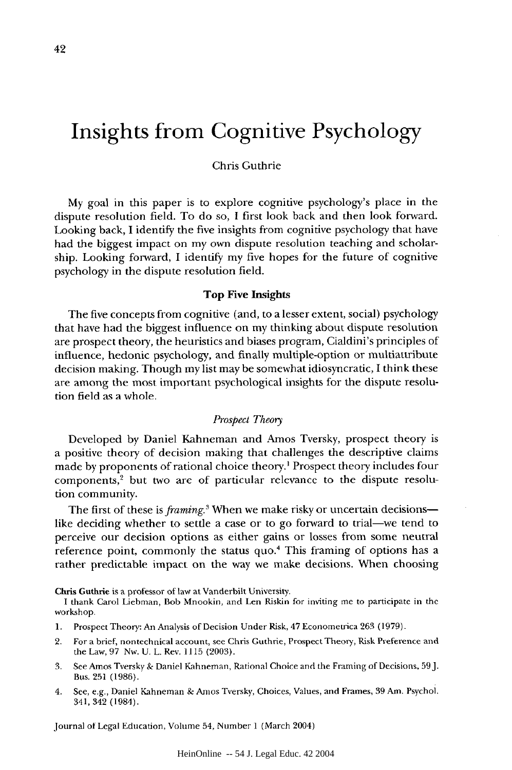# **Insights from Cognitive Psychology**

#### Chris Guthrie

My goal in this paper is to explore cognitive psychology's place in the dispute resolution field. To do so, I first look back and then look forward. Looking back, I identify the five insights from cognitive psychology that have had the biggest impact on my own dispute resolution teaching and scholarship. Looking forward, I identify my five hopes for the future of cognitive psychology in the dispute resolution field.

#### Top Five Insights

The five concepts from cognitive (and, to a lesser extent, social) psychology that have had the biggest influence on my thinking about dispute resolution are prospect theory, the heuristics and biases program, Cialdini's principles of influence, hedonic psychology, and finally multiple-option or multiattribute decision making. Though my list may be somewhat idiosyncratic, I think these are among the most important psychological insights for the dispute resolution field as a whole.

#### *Prospect Theory*

Developed by Daniel Kahneman and Amos Tversky, prospect theory is a positive theory of decision making that challenges the descriptive claims made by proponents of rational choice theory.' Prospect theory includes four  $components<sub>l</sub><sup>2</sup> but two are of particular relevance to the dispute resolu$ tion community.

The first of these is *framing*.<sup>3</sup> When we make risky or uncertain decisions like deciding whether to settle a case or to go forward to trial-we tend to perceive our decision options as either gains or losses from some neutral reference point, commonly the status quo.4 This framing of options has a rather predictable impact on the way we make decisions. When choosing

Chris **Guthrie** is a professor of law at Vanderbilt University.

I thank Carol Liebman, Bob Mnookin, and Len Riskin for inviting **me** to participate in **the** workshop.

- **1.** Prospect Theory: An Analysis of Decision Under Risk, 47 Econometrica 263 **(1979).**
- 2. **For** a brief, nontechnical account, see Chris Guthrie, Prospect Theory, Risk Preference and the Law, **97** Nw. U. L. Rev. **1115 (2003).**
- **3.** See Amos Tversky **&** Daniel Kahneman, Rational Choice and the Framing of Decisions, **59].** Bus. **251 (1986).**
- 4. See, e.g., Daniel Kahneman & Amos Tversky, Choices, Values, and Frames, **39** Am. Psychol. 341,342 (1984).

Journal of Legal Education, Volume *54,* Number 1 (March 2004)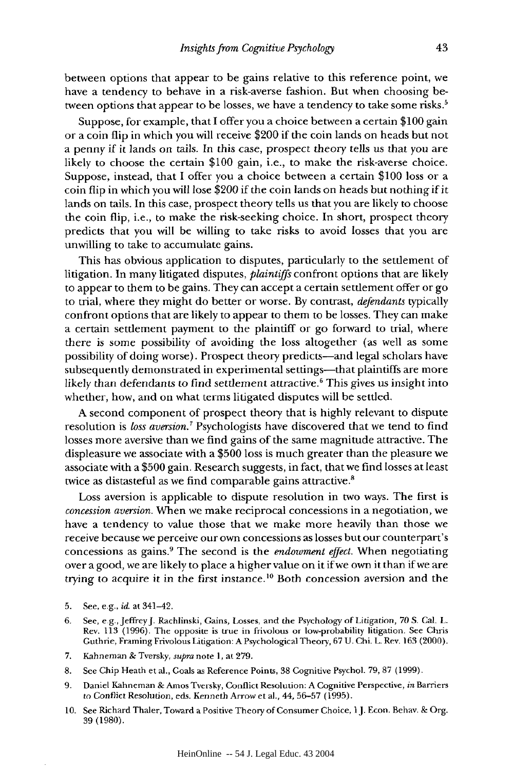between options that appear to be gains relative to this reference point, we have a tendency to behave in a risk-averse fashion. But when choosing between options that appear to be losses, we have a tendency to take some risks.<sup>5</sup>

Suppose, for example, that I offer you a choice between a certain \$100 gain or a coin flip in which you will receive \$200 if the coin lands on heads but not a penny if it lands on tails. In this case, prospect theory tells us that you are likely to choose the certain \$100 gain, i.e., to make the risk-averse choice. Suppose, instead, that I offer you a choice between a certain \$100 loss or a coin flip in which you will lose \$200 if the coin lands on heads but nothing if it lands on tails. In this case, prospect theory tells us that you are likely to choose the coin flip, i.e., to make the risk-seeking choice. In short, prospect theory predicts that you will be willing to take risks to avoid losses that you are unwilling to take to accumulate gains.

This has obvious application to disputes, particularly to the settlement of litigation. In many litigated disputes, *plaintiffs* confront options that are likely to appear to them to be gains. They can accept a certain settlement offer or go to trial, where they might do better or worse. By contrast, *defendants* typically confront options that are likely to appear to them to be losses. They can make a certain settlement payment to the plaintiff or go forward to trial, where there is some possibility of avoiding the loss altogether (as well as some possibility of doing worse). Prospect theory predicts-and legal scholars have subsequently demonstrated in experimental settings-that plaintiffs are more likely than defendants to find settlement attractive.6 This gives us insight into whether, how, and on what terms litigated disputes will be settled.

A second component of prospect theory that is highly relevant to dispute resolution is *loss aversion.'* Psychologists have discovered that we tend to find losses more aversive than we find gains of the same magnitude attractive. The displeasure we associate with a \$500 loss is much greater than the pleasure we associate with a \$500 gain. Research suggests, in fact, that we find losses at least twice as distasteful as we find comparable gains attractive.<sup>8</sup>

Loss aversion is applicable to dispute resolution in two ways. The first is *concession aversion.* When we make reciprocal concessions in a negotiation, we have a tendency to value those that we make more heavily than those we receive because we perceive our own concessions as losses but our counterpart's concessions as gains.9 The second is the *endowment effect.* When negotiating over a good, we are likely to place a higher value on it if we own it than if we are trying to acquire it in the first instance.<sup>10</sup> Both concession aversion and the

- 5. See, e.g., *id.* at 341-42.
- 6. See, e.g.,JeffreyJ. Rachlinski, Gains, Losses, and the Psychology of Litigation, 70 S. Cal. L. Rev. 113 (1996). The opposite is true in frivolous or low-probability litigation. See Chris Guthrie, Framing Frivolous Litigation: A Psychological Theory, 67 U. Chi- L. Rev. 163 (2000).
- 7. Kahneman & Tversky, *supra* note 1, at 279.
- 8. See Chip Heath et al., Goals as Reference Points, 38 Cognitive Psychol. 79, 87 (1999).
- 9. Daniel Kahneman & Amos Tversky, Conflict Resolution: A Cognitive Perspective, *in* Barriers to Conflict Resolution, eds. Kenneth Arrow et al., 44,56-57 (1995).
- 10. See Richard Thaler, Toward a Positive Theory of Consumer Choice, **1J.** Econ. Behav. & Org. 39 (1980).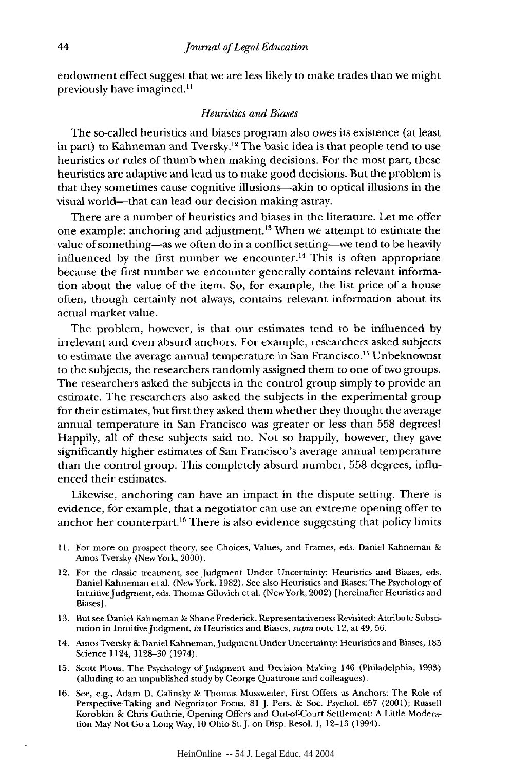endowment effect suggest that we are less likely to make trades than we might previously have imagined."

#### *Heuristics and Biases*

The so-called heuristics and biases program also owes its existence (at least in part) to Kahneman and Tversky.<sup>12</sup> The basic idea is that people tend to use heuristics or rules of thumb when making decisions. For the most part, these heuristics are adaptive and lead us to make good decisions. But the problem is that they sometimes cause cognitive illusions-akin to optical illusions in the visual world—that can lead our decision making astray.

There are a number of heuristics and biases in the literature. Let me offer one example: anchoring and adjustment.<sup>13</sup> When we attempt to estimate the value of something-as we often do in a conflict setting-we tend to be heavily influenced by the first number we encounter.<sup>14</sup> This is often appropriate because the first number we encounter generally contains relevant information about the value of the item. So, for example, the list price of a house often, though certainly not always, contains relevant information about its actual market value.

The problem, however, is that our estimates tend to be influenced by irrelevant and even absurd anchors. For example, researchers asked subjects to estimate the average annual temperature in San Francisco.<sup>15</sup> Unbeknownst to the subjects, the researchers randomly assigned them to one of two groups. The researchers asked the subjects in the control group simply to provide an estimate. The researchers also asked the subjects in the experimental group for their estimates, but first they asked them whether they thought the average annual temperature in San Francisco was greater or less than 558 degrees! Happily, all of these subjects said no. Not so happily, however, they gave significantly higher estimates of San Francisco's average annual temperature than the control group. This completely absurd number, 558 degrees, influenced their estimates.

Likewise, anchoring can have an impact in the dispute setting. There is evidence, for example, that a negotiator can use an extreme opening offer to anchor her counterpart.<sup>16</sup> There is also evidence suggesting that policy limits

- 11. For more on prospect theory, see Choices, Values, and Frames, eds. Daniel Kahneman & Amos Tversky (New York, 2000).
- 12. For the classic treatment, see Judgment Under Uncertainty: Heuristics and Biases, eds. Daniel Kahneman et al. (New York, 1982). See also Heuristics and Biases: The Psychology of IntuitiveJudgrnent, eds. Thomas Gilovich et al. (NewYork, 2002) [hereinafter Heuristics and Biases].
- 13. But see Daniel Kahneman & Shane Frederick, Representativeness Revisited: Attribute Substitution in Intuitive Judgment, *in* Heuristics and Biases, *supra* note 12, at 49, 56.
- 14. Amos Tversky & Daniel Kahneman, Judgment Under Uncertainty: Heuristics and Biases, 185 Science 1124, 1128-30 (1974).
- 15. Scott Pious, The Psychology of Judgment and Decision Making 146 (Philadelphia, 1993) (alluding to an unpublished study by George Quattrone and colleagues).
- 16. See, e.g., Adam D. Galinsky & Thomas Mussweiler, First Offers as Anchors: The Role of Perspective-Taking and Negotiator Focus, 81 J. Pers. & Soc. Psychol. 657 (2001); Russell Korobkin & Chris Guthrie, Opening Offers and Out-of-Court Settlement: A Little Moderation May Not Go a Long Way, 10 Ohio St. J. on Disp. Resol. 1, 12-13 (1994).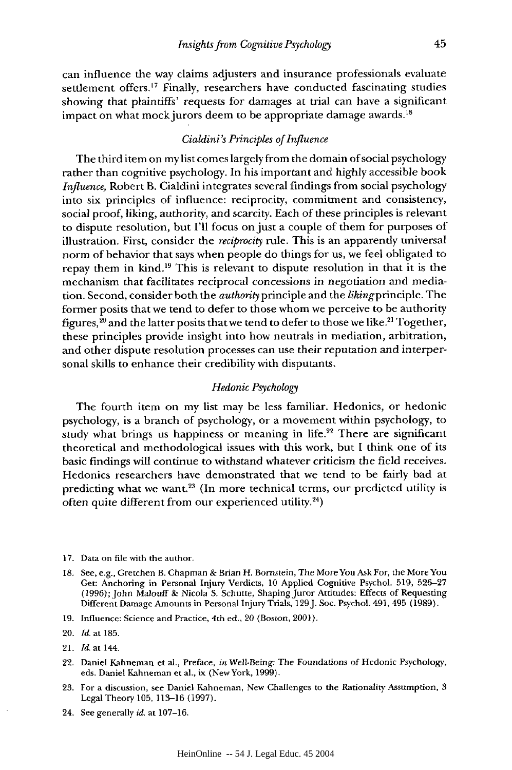can influence the way claims adjusters and insurance professionals evaluate settlement offers.<sup>17</sup> Finally, researchers have conducted fascinating studies showing that plaintiffs' requests for damages at trial can have a significant impact on what mock jurors deem to be appropriate damage awards.<sup>18</sup>

#### *Cialdini's Principles of Influence*

The third item on mylist comes largely from the domain of social psychology rather than cognitive psychology. In his important and highly accessible book *Influence,* Robert B. Cialdini integrates several findings from social psychology into six principles of influence: reciprocity, commitment and consistency, social proof, liking, authority, and scarcity. Each of these principles is relevant to dispute resolution, but I'll focus on just a couple of them for purposes of illustration. First, consider the *reciprocity* rule. This is an apparently universal norm of behavior that says when people do things for us, we feel obligated to repay them in kind.'9 This is relevant to dispute resolution in that it is the mechanism that facilitates reciprocal concessions in negotiation and mediation. Second, consider both the *authority* principle and the likingprinciple. The former posits that we tend to defer to those whom we perceive to be authority figures,  $^{\rm 20}$  and the latter posits that we tend to defer to those we like. $^{\rm 21}$  Together, these principles provide insight into how neutrals in mediation, arbitration, and other dispute resolution processes can use their reputation and interpersonal skills to enhance their credibility with disputants.

#### *Hedonic Psychology*

The fourth item on my list may be less familiar. Hedonics, or hedonic psychology, is a branch of psychology, or a movement within psychology, to study what brings us happiness or meaning in life.<sup>22</sup> There are significant theoretical and methodological issues with this work, but I think one of its basic findings will continue to withstand whatever criticism the field receives. Hedonics researchers have demonstrated that we tend to be fairly bad at predicting what we want.<sup>23</sup> (In more technical terms, our predicted utility is often quite different from our experienced utility.24)

- 17. Data on file with the author.
- 18. See, e.g., Gretchen B. Chapman & Brian H. Bornstein, The MoreYou Ask For, the More You Get: Anchoring in Personal Injury Verdicts, 10 Applied Cognitive Psychol. 519, 526-27 (1996); John Malouff & Nicola S. Schutte, Shaping Juror Attitudes: Effects of Requesting Different Damage Amounts in Personal Injury Trials, 129J. Soc. Psychol. 491, 495 (1989).
- 19. Influence: Science and Practice, 4th ed., 20 (Boston, 2001).

- 22. Daniel Kahneman et al., Preface, *in* Well-Being: The Foundations of Hedonic Psychology, eds. Daniel Kahneman et al., ix (New York, 1999).
- 23. For a discussion, see Daniel Kahneman, New Challenges to the Rationality Assumption, 3 Legal Theory 105, 113-16 (1997).
- 24. See generally *id.* at 107-16.

<sup>20.</sup> *Id.* at 185.

<sup>21.</sup> *Id,* at 144.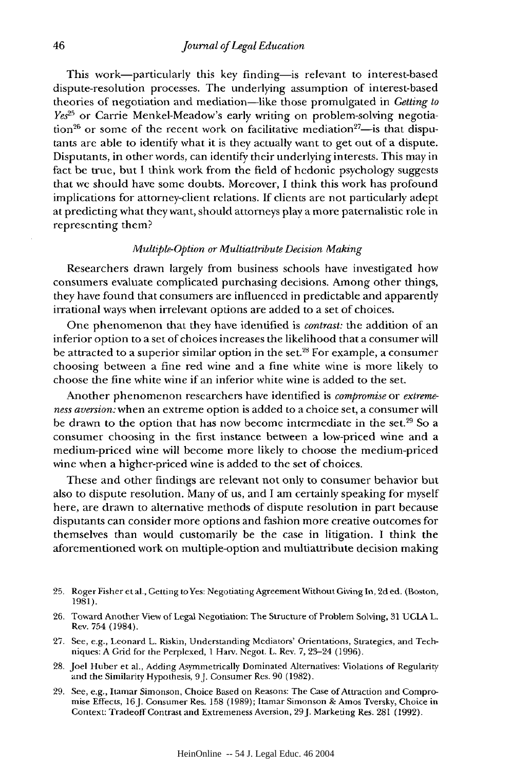This work-particularly this key finding- is relevant to interest-based dispute-resolution processes. The underlying assumption of interest-based theories of negotiation and mediation-like those promulgated in *Getting to Yes*<sup>25</sup> or Carrie Menkel-Meadow's early writing on problem-solving negotiation<sup>26</sup> or some of the recent work on facilitative mediation<sup>27</sup>--is that disputants *arc* able to identify what it is they actually want to get out of a dispute. Disputants, in other words, can identify their underlying interests. This may in fact be true, but **I** think work from the field of hcdonic psychology suggests that we should have some doubts. Moreover, I think this work has profound implications for attorney-client relations. If clients are not particularly adept at predicting what they want, should attorneys play a more paternalistic role in representing them?

#### *Multiple-Option or Multiattribute Decision Making*

Researchers drawn largely from business schools have investigated how consumers evaluate complicated purchasing decisions. Among other things, they have found that consumers are influenced in predictable and apparently irrational ways when irrelevant options are added to a set of choices.

One phenomenon that they have identified is *contrast:* the addition of an inferior option to a set of choices increases the likelihood that a consumer will be attracted to a superior similar option in the set.28 For example, a consumer choosing between a fine red wine and a fine white wine is more likely to choose the fine white wine if an inferior white wine is added to the set.

Another phenomenon researchers have identified is *compromise* or *extremeness aversion:* when an extreme option is added to a choice set, a consumer will be drawn to the option that has now become intermediate in the set.29 So a consumer choosing in the first instance between a low-priced wine and a medium-priced wine will become more likely to choose the medium-priced wine when a higher-priced wine is added to the set of choices.

These and other findings are relevant not only to consumer behavior but also to dispute resolution. Many of us, and I am certainly speaking for myself here, are drawn to alternative methods of dispute resolution in part because disputants can consider more options and fashion more creative outcomes for themselves than would customarily be the case in litigation. I think the aforementioned work on multiple-option and multiattribute decision making

- **25.** Roger Fisher et al., Getting to Yes: Negotiating Agreement Without Giving In, 2d ed. (Boston, 1981).
- 26. Toward Another View of Legal Negotiation: The Structure of Problem Solving, 31 UCLA L. Rev. 754 (1984).
- 27. See, e.g., Leonard L. Riskin, Understanding Mediators' Orientations, Strategies, and Techniques: A Grid for the Perplexed, **I** Harv. Negot. L. Rev. 7, 23-24 (1996).
- 28. Joel Huber et al., Adding Asymmetrically Dominated Alternatives: Violations of Regularity and the Similarity Hypothesis, 9J. Consumer Res. 90 (1982).
- 29. See, e.g., Itamar Simonson, Choice Based on Reasons: The Case of Attraction and Compromise Effects, 16J. Consumer Res. **158** (1989); Itamar Simonson & Amos Tversky, Choice in Context: Tradeoff Contrast and Extremeness Aversion, 29J. Marketing Res. 281 (1992).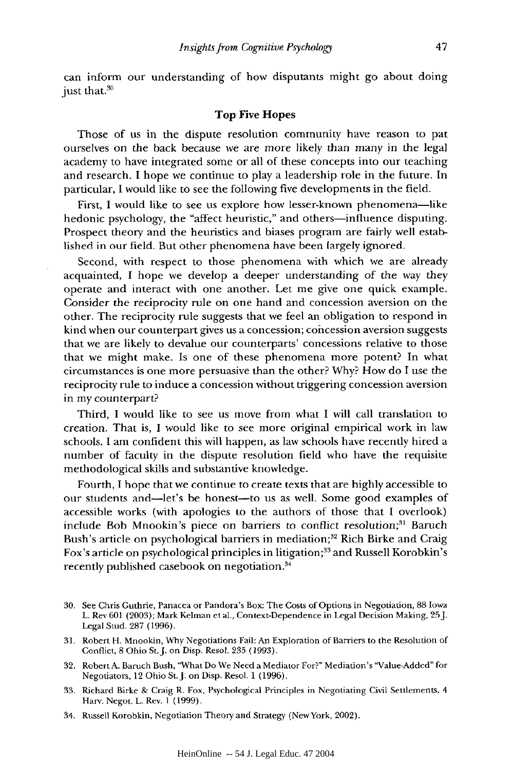can inform our understanding of how disputants might go about doing just that.<sup>30</sup>

#### Top Five Hopes

Those of us in the dispute resolution community have reason to pat ourselves on the back because we are more likely than many in the legal academy to have integrated some or all of these concepts into our teaching and research. I hope we continue to play a leadership role in the future. In particular, I would like to see the following five developments in the field.

First, I would like to see us explore how lesser-known phenomena-like hedonic psychology, the "affect heuristic," and others—influence disputing. Prospect theory and the heuristics and biases program are fairly well established in our field. But other phenomena have been largely ignored.

Second, with respect to those phenomena with which we are already acquainted, I hope we develop a deeper understanding of the way they operate and interact with one another. Let me give one quick example. Consider the reciprocity rule on one hand and concession aversion on the other. The reciprocity rule suggests that we feel an obligation to respond in kind when our counterpart gives us a concession; concession aversion suggests that we are likely to devalue our counterparts' concessions relative to those that we might make. Is one of these phenomena more potent? In what circumstances is one more persuasive than the other? Why? How do I use the reciprocity rule to induce a concession without triggering concession aversion in my counterpart?

Third, I would like to see us move from what I will call translation to creation. That is, I would like to see more original empirical work in law schools. I am confident this will happen, as law schools have recently hired a number of faculty in the dispute resolution field who have the requisite methodological skills and substantive knowledge.

Fourth, I hope that we continue to create texts that are highly accessible to our students and-let's be honest-to us as well. Some good examples of accessible works (with apologies to the authors of those that I overlook) include Bob Mnookin's piece on barriers to conflict resolution;<sup>31</sup> Baruch Bush's article on psychological barriers in mediation;<sup>32</sup> Rich Birke and Craig Fox's article on psychological principles in litigation;33 and Russell Korobkin's recently published casebook on negotiation.<sup>34</sup>

- 30. See Chris Guthrie, Panacea or Pandora's Box: The Costs of Options in Negotiation, 88 Iowa L. Rev 601 (2003); Mark Kelman et al., Context-Dependence in Legal Decision Making, 25J. Legal Stud. 287 (1996).
- 31. Robert H. Mnookin, Why Negotiations Fail: An Exploration of Barriers to the Resolution of Conflict, 8 Ohio St.J. on Disp. Resol. 235 (1993).
- 32. Robert A. Baruch Bush, "What Do We Need a Mediator For?" Mediation's "Value-Added" for Negotiators, 12 Ohio St.J. on Disp. Resol. 1 (1996).
- 33. Richard Birke & Craig R. Fox, Psychological Principles in Negotiating Civil Settlements, 4 Harv. Negot. L. Rev. 1 (1999).
- 34. Russell Korobkin, Negotiation Theory and Strategy (New York, 2002).